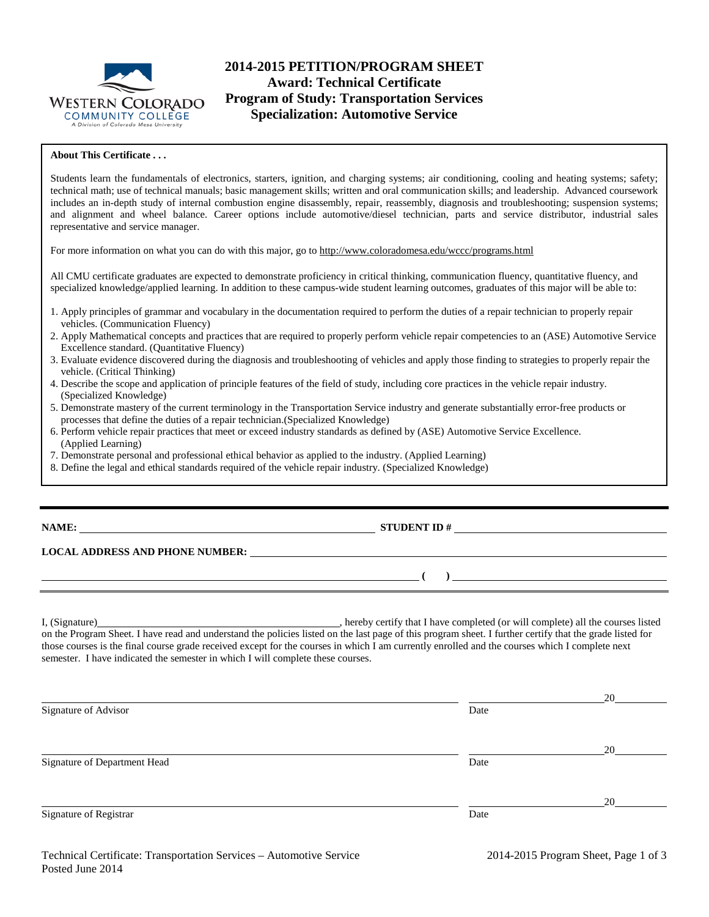

# **2014-2015 PETITION/PROGRAM SHEET Award: Technical Certificate Program of Study: Transportation Services Specialization: Automotive Service**

### **About This Certificate . . .**

Students learn the fundamentals of electronics, starters, ignition, and charging systems; air conditioning, cooling and heating systems; safety; technical math; use of technical manuals; basic management skills; written and oral communication skills; and leadership. Advanced coursework includes an in-depth study of internal combustion engine disassembly, repair, reassembly, diagnosis and troubleshooting; suspension systems; and alignment and wheel balance. Career options include automotive/diesel technician, parts and service distributor, industrial sales representative and service manager.

For more information on what you can do with this major, go to http://www.coloradomesa.edu/wccc/programs.html

All CMU certificate graduates are expected to demonstrate proficiency in critical thinking, communication fluency, quantitative fluency, and specialized knowledge/applied learning. In addition to these campus-wide student learning outcomes, graduates of this major will be able to:

- 1. Apply principles of grammar and vocabulary in the documentation required to perform the duties of a repair technician to properly repair vehicles. (Communication Fluency)
- 2. Apply Mathematical concepts and practices that are required to properly perform vehicle repair competencies to an (ASE) Automotive Service Excellence standard. (Quantitative Fluency)
- 3. Evaluate evidence discovered during the diagnosis and troubleshooting of vehicles and apply those finding to strategies to properly repair the vehicle. (Critical Thinking)
- 4. Describe the scope and application of principle features of the field of study, including core practices in the vehicle repair industry. (Specialized Knowledge)
- 5. Demonstrate mastery of the current terminology in the Transportation Service industry and generate substantially error-free products or processes that define the duties of a repair technician.(Specialized Knowledge)
- 6. Perform vehicle repair practices that meet or exceed industry standards as defined by (ASE) Automotive Service Excellence. (Applied Learning)
- 7. Demonstrate personal and professional ethical behavior as applied to the industry. (Applied Learning)
- 8. Define the legal and ethical standards required of the vehicle repair industry. (Specialized Knowledge)

## **NAME: STUDENT ID #**

 $($   $)$   $)$ 

#### **LOCAL ADDRESS AND PHONE NUMBER:**

I, (Signature) , hereby certify that I have completed (or will complete) all the courses listed on the Program Sheet. I have read and understand the policies listed on the last page of this program sheet. I further certify that the grade listed for those courses is the final course grade received except for the courses in which I am currently enrolled and the courses which I complete next semester. I have indicated the semester in which I will complete these courses.

|                              |      | 20 |
|------------------------------|------|----|
| Signature of Advisor         | Date |    |
|                              |      |    |
|                              |      | 20 |
| Signature of Department Head | Date |    |
|                              |      |    |
|                              |      | 20 |
| Signature of Registrar       | Date |    |
|                              |      |    |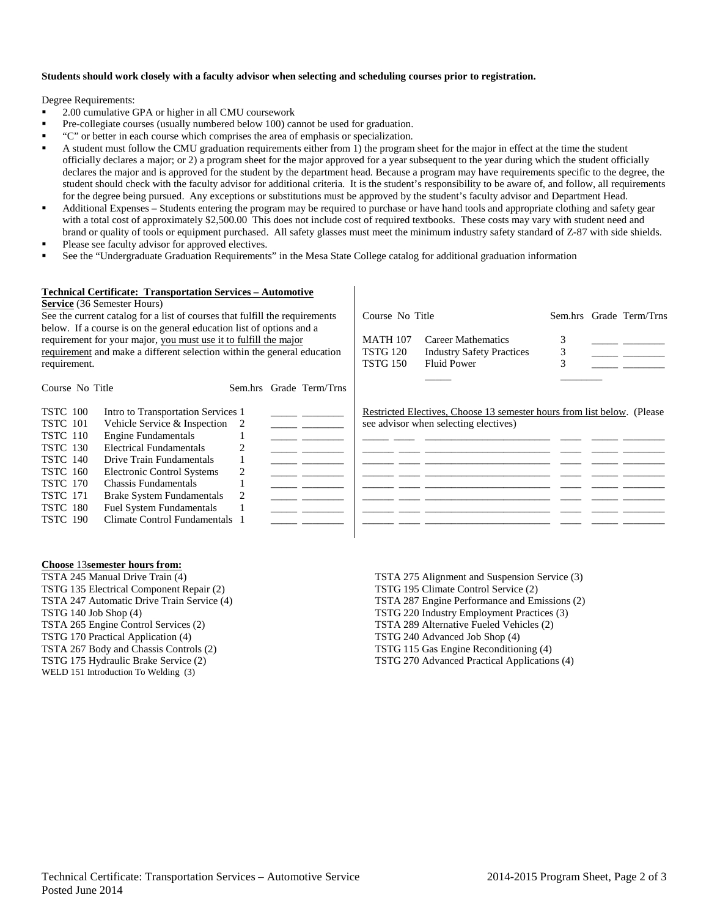### **Students should work closely with a faculty advisor when selecting and scheduling courses prior to registration.**

Degree Requirements:

- 2.00 cumulative GPA or higher in all CMU coursework
- Pre-collegiate courses (usually numbered below 100) cannot be used for graduation.
- "C" or better in each course which comprises the area of emphasis or specialization.
- A student must follow the CMU graduation requirements either from 1) the program sheet for the major in effect at the time the student officially declares a major; or 2) a program sheet for the major approved for a year subsequent to the year during which the student officially declares the major and is approved for the student by the department head. Because a program may have requirements specific to the degree, the student should check with the faculty advisor for additional criteria. It is the student's responsibility to be aware of, and follow, all requirements for the degree being pursued. Any exceptions or substitutions must be approved by the student's faculty advisor and Department Head.
- Additional Expenses Students entering the program may be required to purchase or have hand tools and appropriate clothing and safety gear with a total cost of approximately \$2,500.00 This does not include cost of required textbooks. These costs may vary with student need and brand or quality of tools or equipment purchased. All safety glasses must meet the minimum industry safety standard of Z-87 with side shields.
- Please see faculty advisor for approved electives.
- See the "Undergraduate Graduation Requirements" in the Mesa State College catalog for additional graduation information

#### **Technical Certificate: Transportation Services – Automotive**

**Service** (36 Semester Hours)

See the current catalog for a list of courses that fulfill the requirements below. If a course is on the general education list of options and a requirement for your major, you must use it to fulfill the major requirement and make a different selection within the general education requirement.

Course No Title Sem.hrs Grade Term/Trns

Course No Title Sem.hrs Grade Term/Trns MATH 107 Career Mathematics 3 TSTG 120 Industry Safety Practices 3<br>TSTG 150 Fluid Power 3 Fluid Power \_\_\_\_\_ \_\_\_\_\_\_\_\_

| <b>TSTC</b> 100 | Intro to Transportation Services 1 | Restricted Electives, Choose 13 semester hours from list below. (Please |
|-----------------|------------------------------------|-------------------------------------------------------------------------|
| <b>TSTC</b> 101 | Vehicle Service $&$ Inspection 2   | see advisor when selecting electives)                                   |
| <b>TSTC</b> 110 | <b>Engine Fundamentals</b>         |                                                                         |
| <b>TSTC</b> 130 | <b>Electrical Fundamentals</b>     |                                                                         |
| <b>TSTC</b> 140 | Drive Train Fundamentals           |                                                                         |
| <b>TSTC</b> 160 | Electronic Control Systems         |                                                                         |
| <b>TSTC</b> 170 | Chassis Fundamentals               |                                                                         |
| <b>TSTC</b> 171 | Brake System Fundamentals          |                                                                         |
| <b>TSTC 180</b> | <b>Fuel System Fundamentals</b>    |                                                                         |
| <b>TSTC 190</b> | Climate Control Fundamentals 1     |                                                                         |
|                 |                                    |                                                                         |

#### **Choose** 13**semester hours from:**

TSTA 245 Manual Drive Train (4) TSTG 135 Electrical Component Repair (2) TSTA 247 Automatic Drive Train Service (4) TSTG 140 Job Shop (4) TSTA 265 Engine Control Services (2) TSTG 170 Practical Application (4) TSTA 267 Body and Chassis Controls (2) TSTG 175 Hydraulic Brake Service (2) WELD 151 Introduction To Welding (3)

TSTA 275 Alignment and Suspension Service (3) TSTG 195 Climate Control Service (2) TSTA 287 Engine Performance and Emissions (2) TSTG 220 Industry Employment Practices (3) TSTA 289 Alternative Fueled Vehicles (2) TSTG 240 Advanced Job Shop (4) TSTG 115 Gas Engine Reconditioning (4) TSTG 270 Advanced Practical Applications (4)